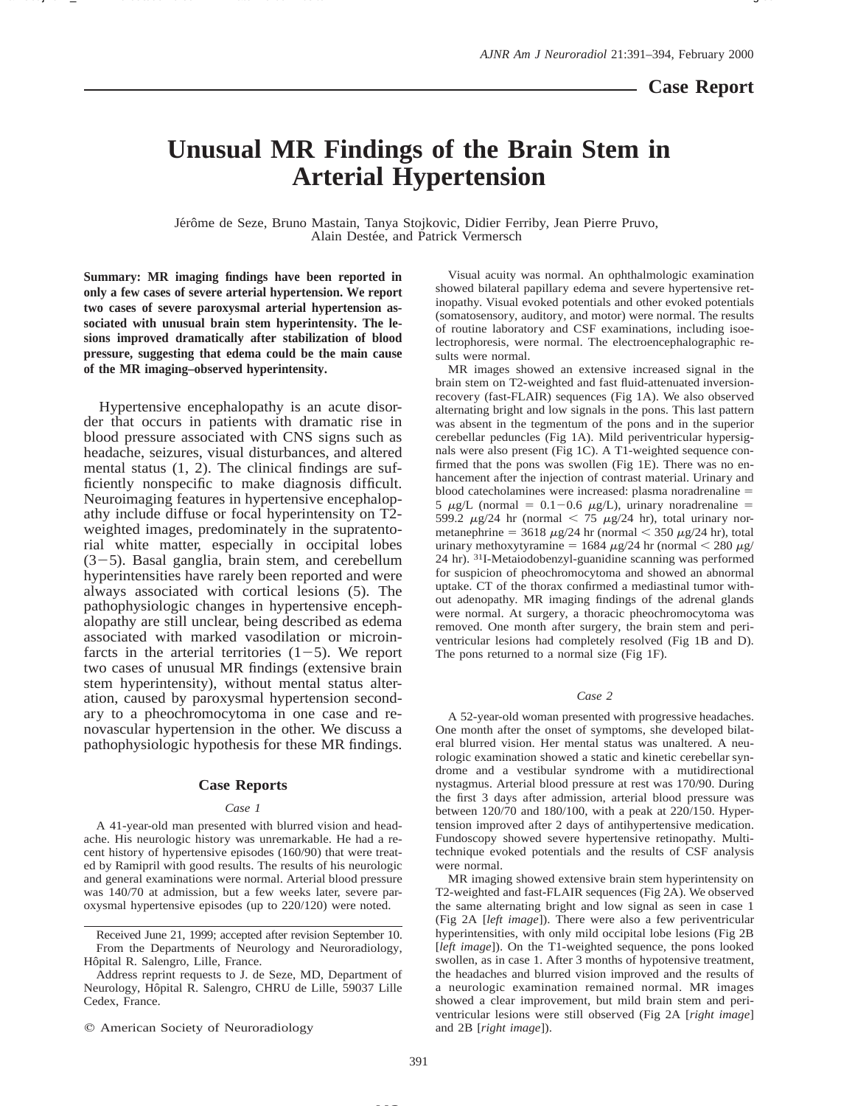## **Case Report**

# **Unusual MR Findings of the Brain Stem in Arterial Hypertension**

Jérôme de Seze, Bruno Mastain, Tanya Stojkovic, Didier Ferriby, Jean Pierre Pruvo, Alain Destée, and Patrick Vermersch

**Summary: MR imaging findings have been reported in only a few cases of severe arterial hypertension. We report two cases of severe paroxysmal arterial hypertension associated with unusual brain stem hyperintensity. The lesions improved dramatically after stabilization of blood pressure, suggesting that edema could be the main cause of the MR imaging–observed hyperintensity.**

Hypertensive encephalopathy is an acute disorder that occurs in patients with dramatic rise in blood pressure associated with CNS signs such as headache, seizures, visual disturbances, and altered mental status (1, 2). The clinical findings are sufficiently nonspecific to make diagnosis difficult. Neuroimaging features in hypertensive encephalopathy include diffuse or focal hyperintensity on T2 weighted images, predominately in the supratentorial white matter, especially in occipital lobes  $(3-5)$ . Basal ganglia, brain stem, and cerebellum hyperintensities have rarely been reported and were always associated with cortical lesions (5). The pathophysiologic changes in hypertensive encephalopathy are still unclear, being described as edema associated with marked vasodilation or microinfarcts in the arterial territories  $(1-5)$ . We report two cases of unusual MR findings (extensive brain stem hyperintensity), without mental status alteration, caused by paroxysmal hypertension secondary to a pheochromocytoma in one case and renovascular hypertension in the other. We discuss a pathophysiologic hypothesis for these MR findings.

### **Case Reports**

#### *Case 1*

A 41-year-old man presented with blurred vision and headache. His neurologic history was unremarkable. He had a recent history of hypertensive episodes (160/90) that were treated by Ramipril with good results. The results of his neurologic and general examinations were normal. Arterial blood pressure was 140/70 at admission, but a few weeks later, severe paroxysmal hypertensive episodes (up to 220/120) were noted.

Visual acuity was normal. An ophthalmologic examination showed bilateral papillary edema and severe hypertensive retinopathy. Visual evoked potentials and other evoked potentials (somatosensory, auditory, and motor) were normal. The results of routine laboratory and CSF examinations, including isoelectrophoresis, were normal. The electroencephalographic results were normal.

MR images showed an extensive increased signal in the brain stem on T2-weighted and fast fluid-attenuated inversionrecovery (fast-FLAIR) sequences (Fig 1A). We also observed alternating bright and low signals in the pons. This last pattern was absent in the tegmentum of the pons and in the superior cerebellar peduncles (Fig 1A). Mild periventricular hypersignals were also present (Fig 1C). A T1-weighted sequence confirmed that the pons was swollen (Fig 1E). There was no enhancement after the injection of contrast material. Urinary and blood catecholamines were increased: plasma noradrenaline  $=$ 5  $\mu$ g/L (normal = 0.1-0.6  $\mu$ g/L), urinary noradrenaline = 599.2  $\mu$ g/24 hr (normal < 75  $\mu$ g/24 hr), total urinary normetanephrine = 3618  $\mu$ g/24 hr (normal < 350  $\mu$ g/24 hr), total urinary methoxytyramine = 1684  $\mu$ g/24 hr (normal < 280  $\mu$ g/ 24 hr). 31I-Metaiodobenzyl-guanidine scanning was performed for suspicion of pheochromocytoma and showed an abnormal uptake. CT of the thorax confirmed a mediastinal tumor without adenopathy. MR imaging findings of the adrenal glands were normal. At surgery, a thoracic pheochromocytoma was removed. One month after surgery, the brain stem and periventricular lesions had completely resolved (Fig 1B and D). The pons returned to a normal size (Fig 1F).

#### *Case 2*

A 52-year-old woman presented with progressive headaches. One month after the onset of symptoms, she developed bilateral blurred vision. Her mental status was unaltered. A neurologic examination showed a static and kinetic cerebellar syndrome and a vestibular syndrome with a mutidirectional nystagmus. Arterial blood pressure at rest was 170/90. During the first 3 days after admission, arterial blood pressure was between 120/70 and 180/100, with a peak at 220/150. Hypertension improved after 2 days of antihypertensive medication. Fundoscopy showed severe hypertensive retinopathy. Multitechnique evoked potentials and the results of CSF analysis were normal.

MR imaging showed extensive brain stem hyperintensity on T2-weighted and fast-FLAIR sequences (Fig 2A). We observed the same alternating bright and low signal as seen in case 1 (Fig 2A [*left image*]). There were also a few periventricular hyperintensities, with only mild occipital lobe lesions (Fig 2B [*left image*]). On the T1-weighted sequence, the pons looked swollen, as in case 1. After 3 months of hypotensive treatment, the headaches and blurred vision improved and the results of a neurologic examination remained normal. MR images showed a clear improvement, but mild brain stem and periventricular lesions were still observed (Fig 2A [*right image*] and 2B [*right image*]).

Received June 21, 1999; accepted after revision September 10. From the Departments of Neurology and Neuroradiology, Hôpital R. Salengro, Lille, France.

Address reprint requests to J. de Seze, MD, Department of Neurology, Hôpital R. Salengro, CHRU de Lille, 59037 Lille Cedex, France.

 $Q$  American Society of Neuroradiology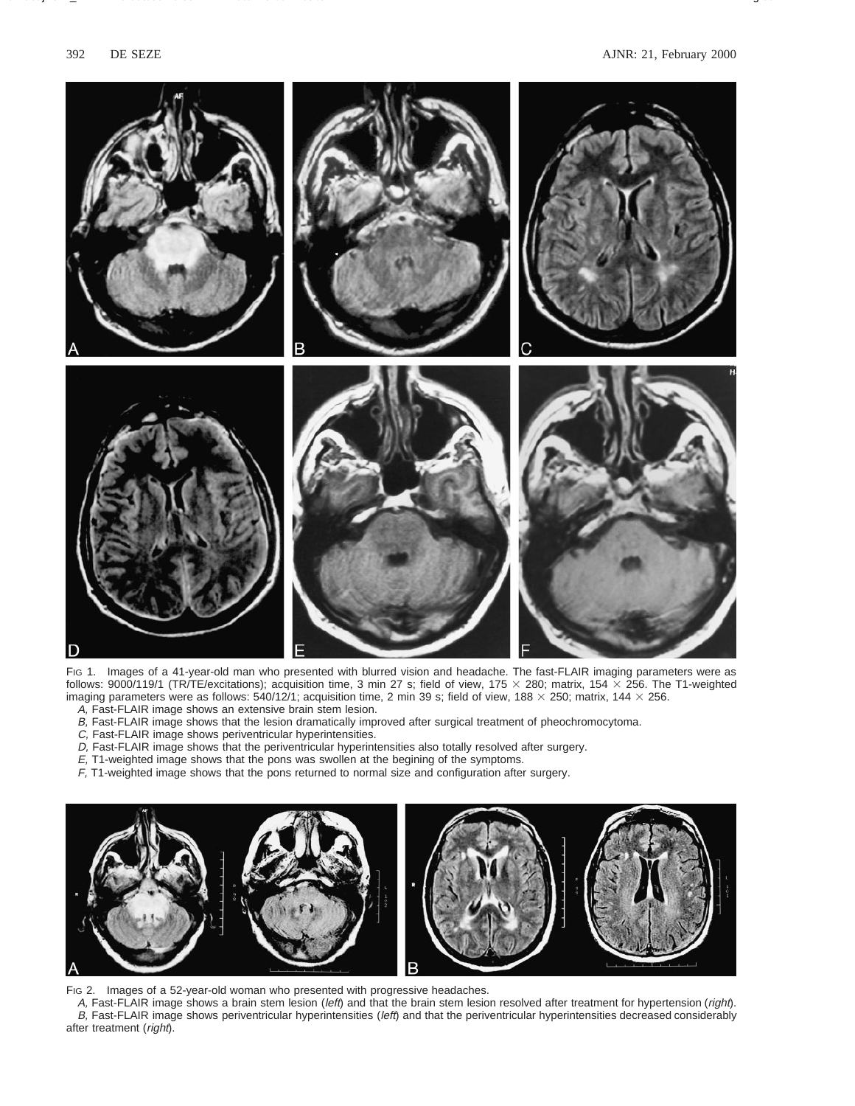

Fig 1. Images of a 41-year-old man who presented with blurred vision and headache. The fast-FLAIR imaging parameters were as follows: 9000/119/1 (TR/TE/excitations); acquisition time, 3 min 27 s; field of view, 175  $\times$  280; matrix, 154  $\times$  256. The T1-weighted imaging parameters were as follows: 540/12/1; acquisition time, 2 min 39 s; field of view, 188  $\times$  250; matrix, 144  $\times$  256. A, Fast-FLAIR image shows an extensive brain stem lesion.

- B, Fast-FLAIR image shows that the lesion dramatically improved after surgical treatment of pheochromocytoma.
- C, Fast-FLAIR image shows periventricular hyperintensities.
- D, Fast-FLAIR image shows that the periventricular hyperintensities also totally resolved after surgery.
- E, T1-weighted image shows that the pons was swollen at the begining of the symptoms.
- F, T1-weighted image shows that the pons returned to normal size and configuration after surgery.



FIG 2. Images of a 52-year-old woman who presented with progressive headaches.

A, Fast-FLAIR image shows a brain stem lesion (left) and that the brain stem lesion resolved after treatment for hypertension (right). B, Fast-FLAIR image shows periventricular hyperintensities (left) and that the periventricular hyperintensities decreased considerably after treatment (right).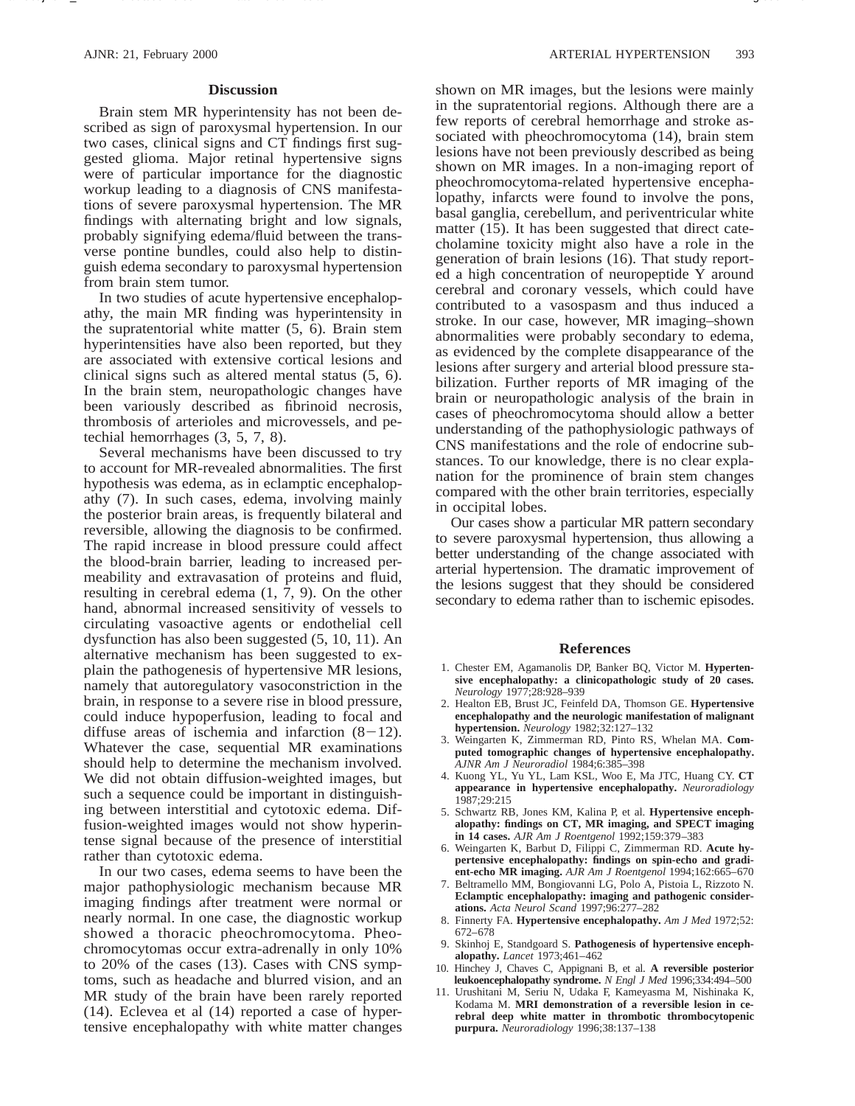#### **Discussion**

Brain stem MR hyperintensity has not been described as sign of paroxysmal hypertension. In our two cases, clinical signs and CT findings first suggested glioma. Major retinal hypertensive signs were of particular importance for the diagnostic workup leading to a diagnosis of CNS manifestations of severe paroxysmal hypertension. The MR findings with alternating bright and low signals, probably signifying edema/fluid between the transverse pontine bundles, could also help to distinguish edema secondary to paroxysmal hypertension from brain stem tumor.

In two studies of acute hypertensive encephalopathy, the main MR finding was hyperintensity in the supratentorial white matter (5, 6). Brain stem hyperintensities have also been reported, but they are associated with extensive cortical lesions and clinical signs such as altered mental status (5, 6). In the brain stem, neuropathologic changes have been variously described as fibrinoid necrosis, thrombosis of arterioles and microvessels, and petechial hemorrhages (3, 5, 7, 8).

Several mechanisms have been discussed to try to account for MR-revealed abnormalities. The first hypothesis was edema, as in eclamptic encephalopathy (7). In such cases, edema, involving mainly the posterior brain areas, is frequently bilateral and reversible, allowing the diagnosis to be confirmed. The rapid increase in blood pressure could affect the blood-brain barrier, leading to increased permeability and extravasation of proteins and fluid, resulting in cerebral edema (1, 7, 9). On the other hand, abnormal increased sensitivity of vessels to circulating vasoactive agents or endothelial cell dysfunction has also been suggested (5, 10, 11). An alternative mechanism has been suggested to explain the pathogenesis of hypertensive MR lesions, namely that autoregulatory vasoconstriction in the brain, in response to a severe rise in blood pressure, could induce hypoperfusion, leading to focal and diffuse areas of ischemia and infarction  $(8-12)$ . Whatever the case, sequential MR examinations should help to determine the mechanism involved. We did not obtain diffusion-weighted images, but such a sequence could be important in distinguishing between interstitial and cytotoxic edema. Diffusion-weighted images would not show hyperintense signal because of the presence of interstitial rather than cytotoxic edema.

In our two cases, edema seems to have been the major pathophysiologic mechanism because MR imaging findings after treatment were normal or nearly normal. In one case, the diagnostic workup showed a thoracic pheochromocytoma. Pheochromocytomas occur extra-adrenally in only 10% to 20% of the cases (13). Cases with CNS symptoms, such as headache and blurred vision, and an MR study of the brain have been rarely reported (14). Eclevea et al (14) reported a case of hypertensive encephalopathy with white matter changes

shown on MR images, but the lesions were mainly in the supratentorial regions. Although there are a few reports of cerebral hemorrhage and stroke associated with pheochromocytoma (14), brain stem lesions have not been previously described as being shown on MR images. In a non-imaging report of pheochromocytoma-related hypertensive encephalopathy, infarcts were found to involve the pons, basal ganglia, cerebellum, and periventricular white matter (15). It has been suggested that direct catecholamine toxicity might also have a role in the generation of brain lesions (16). That study reported a high concentration of neuropeptide Y around cerebral and coronary vessels, which could have contributed to a vasospasm and thus induced a stroke. In our case, however, MR imaging–shown abnormalities were probably secondary to edema, as evidenced by the complete disappearance of the lesions after surgery and arterial blood pressure stabilization. Further reports of MR imaging of the brain or neuropathologic analysis of the brain in cases of pheochromocytoma should allow a better understanding of the pathophysiologic pathways of CNS manifestations and the role of endocrine substances. To our knowledge, there is no clear explanation for the prominence of brain stem changes compared with the other brain territories, especially in occipital lobes.

Our cases show a particular MR pattern secondary to severe paroxysmal hypertension, thus allowing a better understanding of the change associated with arterial hypertension. The dramatic improvement of the lesions suggest that they should be considered secondary to edema rather than to ischemic episodes.

#### **References**

- 1. Chester EM, Agamanolis DP, Banker BQ, Victor M. **Hypertensive encephalopathy: a clinicopathologic study of 20 cases.** *Neurology* 1977;28:928–939
- 2. Healton EB, Brust JC, Feinfeld DA, Thomson GE. **Hypertensive encephalopathy and the neurologic manifestation of malignant hypertension.** *Neurology* 1982;32:127–132
- 3. Weingarten K, Zimmerman RD, Pinto RS, Whelan MA. **Computed tomographic changes of hypertensive encephalopathy.** *AJNR Am J Neuroradiol* 1984;6:385–398
- 4. Kuong YL, Yu YL, Lam KSL, Woo E, Ma JTC, Huang CY. **CT appearance in hypertensive encephalopathy.** *Neuroradiology* 1987;29:215
- 5. Schwartz RB, Jones KM, Kalina P, et al. **Hypertensive encephalopathy: findings on CT, MR imaging, and SPECT imaging in 14 cases.** *AJR Am J Roentgenol* 1992;159:379–383
- 6. Weingarten K, Barbut D, Filippi C, Zimmerman RD. **Acute hypertensive encephalopathy: findings on spin-echo and gradient-echo MR imaging.** *AJR Am J Roentgenol* 1994;162:665–670
- 7. Beltramello MM, Bongiovanni LG, Polo A, Pistoia L, Rizzoto N. **Eclamptic encephalopathy: imaging and pathogenic considerations.** *Acta Neurol Scand* 1997;96:277–282
- 8. Finnerty FA. **Hypertensive encephalopathy.** *Am J Med* 1972;52: 672–678
- 9. Skinhoj E, Standgoard S. **Pathogenesis of hypertensive encephalopathy.** *Lancet* 1973;461–462
- 10. Hinchey J, Chaves C, Appignani B, et al. **A reversible posterior leukoencephalopathy syndrome.** *N Engl J Med* 1996;334:494–500
- 11. Urushitani M, Seriu N, Udaka F, Kameyasma M, Nishinaka K, Kodama M. **MRI demonstration of a reversible lesion in cerebral deep white matter in thrombotic thrombocytopenic purpura.** *Neuroradiology* 1996;38:137–138